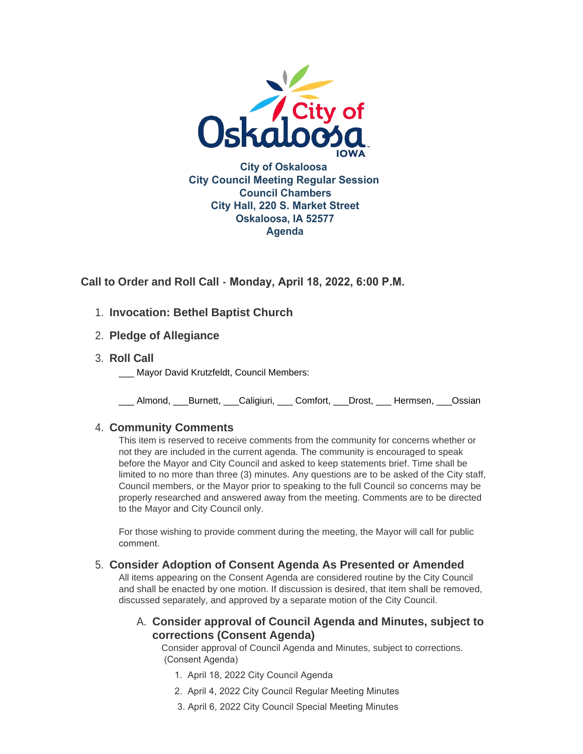

**Call to Order and Roll Call - Monday, April 18, 2022, 6:00 P.M.** 

# **Invocation: Bethel Baptist Church** 1.

- **Pledge of Allegiance** 2.
- **Roll Call** 3.
	- Mayor David Krutzfeldt, Council Members:

\_\_\_ Almond, \_\_\_Burnett, \_\_\_Caligiuri, \_\_\_ Comfort, \_\_\_Drost, \_\_\_ Hermsen, \_\_\_Ossian

# **Community Comments** 4.

This item is reserved to receive comments from the community for concerns whether or not they are included in the current agenda. The community is encouraged to speak before the Mayor and City Council and asked to keep statements brief. Time shall be limited to no more than three (3) minutes. Any questions are to be asked of the City staff, Council members, or the Mayor prior to speaking to the full Council so concerns may be properly researched and answered away from the meeting. Comments are to be directed to the Mayor and City Council only.

For those wishing to provide comment during the meeting, the Mayor will call for public comment.

# **Consider Adoption of Consent Agenda As Presented or Amended** 5.

All items appearing on the Consent Agenda are considered routine by the City Council and shall be enacted by one motion. If discussion is desired, that item shall be removed, discussed separately, and approved by a separate motion of the City Council.

# **Consider approval of Council Agenda and Minutes, subject to**  A. **corrections (Consent Agenda)**

Consider approval of Council Agenda and Minutes, subject to corrections. (Consent Agenda)

- 1. April 18, 2022 City Council Agenda
- 2. April 4, 2022 City Council Regular Meeting Minutes
- 3. April 6, 2022 City Council Special Meeting Minutes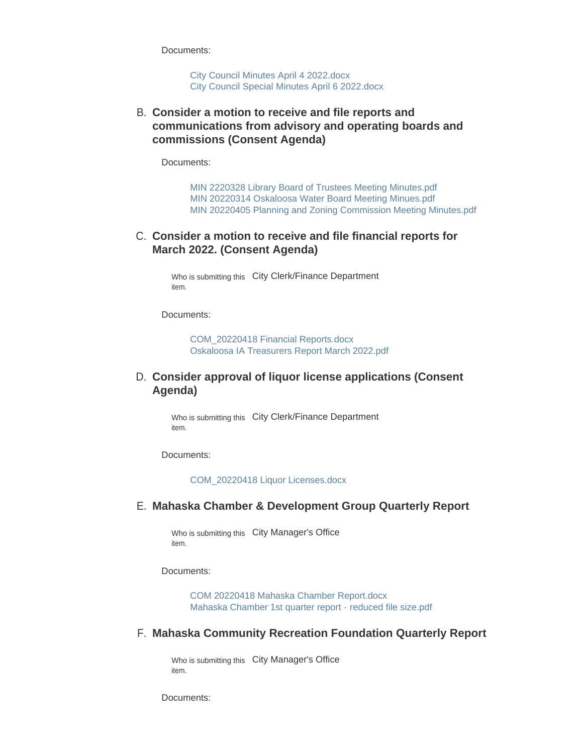Documents:

[City Council Minutes April 4 2022.docx](https://www.oskaloosaiowa.org/AgendaCenter/ViewFile/Item/10081?fileID=26457) [City Council Special Minutes April 6 2022.docx](https://www.oskaloosaiowa.org/AgendaCenter/ViewFile/Item/10081?fileID=26458)

**Consider a motion to receive and file reports and**  B. **communications from advisory and operating boards and commissions (Consent Agenda)**

Documents:

[MIN 2220328 Library Board of Trustees Meeting Minutes.pdf](https://www.oskaloosaiowa.org/AgendaCenter/ViewFile/Item/10082?fileID=26459) [MIN 20220314 Oskaloosa Water Board Meeting Minues.pdf](https://www.oskaloosaiowa.org/AgendaCenter/ViewFile/Item/10082?fileID=26460) [MIN 20220405 Planning and Zoning Commission Meeting Minutes.pdf](https://www.oskaloosaiowa.org/AgendaCenter/ViewFile/Item/10082?fileID=26461)

### **C. Consider a motion to receive and file financial reports for March 2022. (Consent Agenda)**

Who is submitting this City Clerk/Finance Department item.

Documents:

[COM\\_20220418 Financial Reports.docx](https://www.oskaloosaiowa.org/AgendaCenter/ViewFile/Item/10045?fileID=26424) [Oskaloosa IA Treasurers Report March 2022.pdf](https://www.oskaloosaiowa.org/AgendaCenter/ViewFile/Item/10045?fileID=26425)

### **Consider approval of liquor license applications (Consent**  D. **Agenda)**

Who is submitting this City Clerk/Finance Department item.

Documents:

[COM\\_20220418 Liquor Licenses.docx](https://www.oskaloosaiowa.org/AgendaCenter/ViewFile/Item/10044?fileID=26423)

#### **Mahaska Chamber & Development Group Quarterly Report** E.

Who is submitting this City Manager's Office item.

Documents:

[COM 20220418 Mahaska Chamber Report.docx](https://www.oskaloosaiowa.org/AgendaCenter/ViewFile/Item/10072?fileID=26429) [Mahaska Chamber 1st quarter report - reduced file size.pdf](https://www.oskaloosaiowa.org/AgendaCenter/ViewFile/Item/10072?fileID=26428)

#### **Mahaska Community Recreation Foundation Quarterly Report** F.

Who is submitting this City Manager's Office item.

Documents: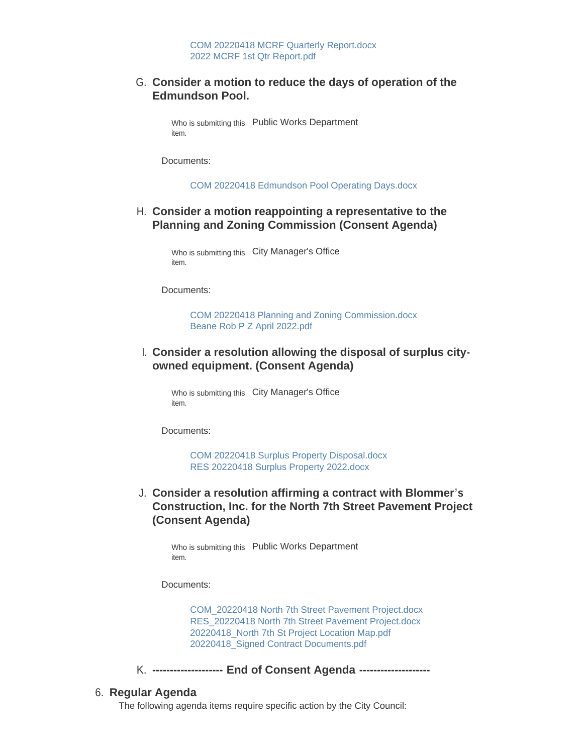### **Consider a motion to reduce the days of operation of the**  G. **Edmundson Pool.**

Who is submitting this Public Works Department item.

Documents:

[COM 20220418 Edmundson Pool Operating Days.docx](https://www.oskaloosaiowa.org/AgendaCenter/ViewFile/Item/10101?fileID=26479)

### **Consider a motion reappointing a representative to the**  H. **Planning and Zoning Commission (Consent Agenda)**

Who is submitting this City Manager's Office item.

Documents:

[COM 20220418 Planning and Zoning Commission.docx](https://www.oskaloosaiowa.org/AgendaCenter/ViewFile/Item/10046?fileID=26432) [Beane Rob P Z April 2022.pdf](https://www.oskaloosaiowa.org/AgendaCenter/ViewFile/Item/10046?fileID=26433)

## **Consider a resolution allowing the disposal of surplus city-**I. **owned equipment. (Consent Agenda)**

Who is submitting this City Manager's Office item.

Documents:

[COM 20220418 Surplus Property Disposal.docx](https://www.oskaloosaiowa.org/AgendaCenter/ViewFile/Item/10100?fileID=26480) [RES 20220418 Surplus Property 2022.docx](https://www.oskaloosaiowa.org/AgendaCenter/ViewFile/Item/10100?fileID=26473)

**Consider a resolution affirming a contract with Blommer's**  J. **Construction, Inc. for the North 7th Street Pavement Project (Consent Agenda)**

Who is submitting this Public Works Department item.

Documents:

[COM\\_20220418 North 7th Street Pavement Project.docx](https://www.oskaloosaiowa.org/AgendaCenter/ViewFile/Item/10052?fileID=26437) [RES\\_20220418 North 7th Street Pavement Project.docx](https://www.oskaloosaiowa.org/AgendaCenter/ViewFile/Item/10052?fileID=26438) [20220418\\_North 7th St Project Location Map.pdf](https://www.oskaloosaiowa.org/AgendaCenter/ViewFile/Item/10052?fileID=26440) [20220418\\_Signed Contract Documents.pdf](https://www.oskaloosaiowa.org/AgendaCenter/ViewFile/Item/10052?fileID=26439)

**-------------------- End of Consent Agenda --------------------** K.

### **Regular Agenda** 6.

The following agenda items require specific action by the City Council: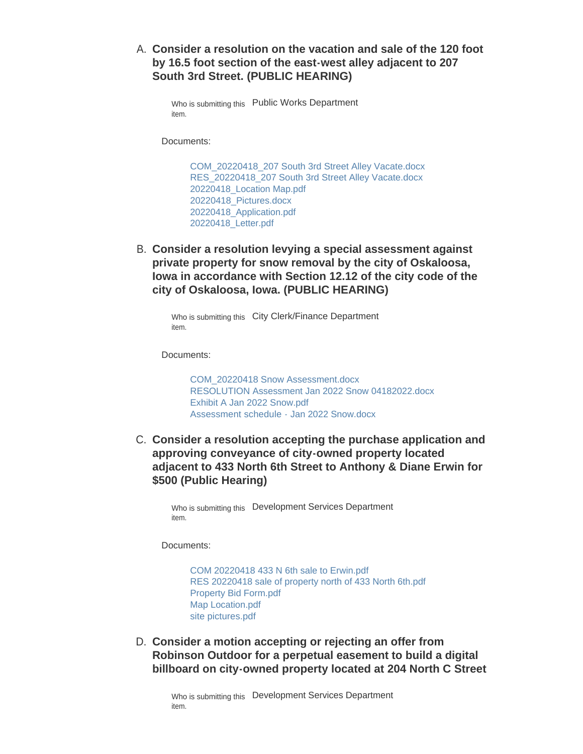**Consider a resolution on the vacation and sale of the 120 foot**  A. **by 16.5 foot section of the east-west alley adjacent to 207 South 3rd Street. (PUBLIC HEARING)**

Who is submitting this Public Works Department item.

Documents:

[COM\\_20220418\\_207 South 3rd Street Alley Vacate.docx](https://www.oskaloosaiowa.org/AgendaCenter/ViewFile/Item/10047?fileID=26451) [RES\\_20220418\\_207 South 3rd Street Alley Vacate.docx](https://www.oskaloosaiowa.org/AgendaCenter/ViewFile/Item/10047?fileID=26452) [20220418\\_Location Map.pdf](https://www.oskaloosaiowa.org/AgendaCenter/ViewFile/Item/10047?fileID=26455) [20220418\\_Pictures.docx](https://www.oskaloosaiowa.org/AgendaCenter/ViewFile/Item/10047?fileID=26456) [20220418\\_Application.pdf](https://www.oskaloosaiowa.org/AgendaCenter/ViewFile/Item/10047?fileID=26453) [20220418\\_Letter.pdf](https://www.oskaloosaiowa.org/AgendaCenter/ViewFile/Item/10047?fileID=26454)

**Consider a resolution levying a special assessment against**  B. **private property for snow removal by the city of Oskaloosa, Iowa in accordance with Section 12.12 of the city code of the city of Oskaloosa, Iowa. (PUBLIC HEARING)**

Who is submitting this City Clerk/Finance Department item.

Documents:

[COM\\_20220418 Snow Assessment.docx](https://www.oskaloosaiowa.org/AgendaCenter/ViewFile/Item/10043?fileID=26391) [RESOLUTION Assessment Jan 2022 Snow 04182022.docx](https://www.oskaloosaiowa.org/AgendaCenter/ViewFile/Item/10043?fileID=26392) [Exhibit A Jan 2022 Snow.pdf](https://www.oskaloosaiowa.org/AgendaCenter/ViewFile/Item/10043?fileID=26393) [Assessment schedule - Jan 2022 Snow.docx](https://www.oskaloosaiowa.org/AgendaCenter/ViewFile/Item/10043?fileID=26394)

C. Consider a resolution accepting the purchase application and **approving conveyance of city-owned property located adjacent to 433 North 6th Street to Anthony & Diane Erwin for \$500 (Public Hearing)**

Who is submitting this Development Services Department item.

Documents:

[COM 20220418 433 N 6th sale to Erwin.pdf](https://www.oskaloosaiowa.org/AgendaCenter/ViewFile/Item/10051?fileID=26427) [RES 20220418 sale of property north of 433 North 6th.pdf](https://www.oskaloosaiowa.org/AgendaCenter/ViewFile/Item/10051?fileID=26406) [Property Bid Form.pdf](https://www.oskaloosaiowa.org/AgendaCenter/ViewFile/Item/10051?fileID=26405) [Map Location.pdf](https://www.oskaloosaiowa.org/AgendaCenter/ViewFile/Item/10051?fileID=26404) [site pictures.pdf](https://www.oskaloosaiowa.org/AgendaCenter/ViewFile/Item/10051?fileID=26407)

**Consider a motion accepting or rejecting an offer from**  D. **Robinson Outdoor for a perpetual easement to build a digital billboard on city-owned property located at 204 North C Street**

Who is submitting this Development Services Department item.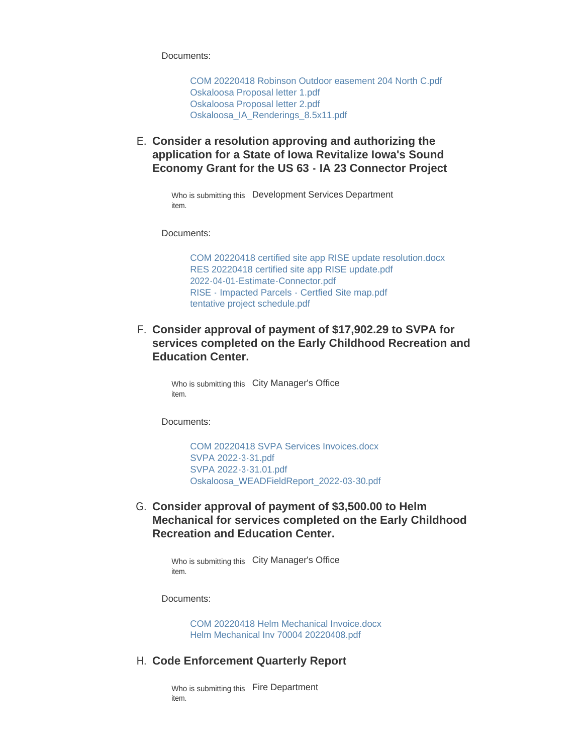Documents:

[COM 20220418 Robinson Outdoor easement 204 North C.pdf](https://www.oskaloosaiowa.org/AgendaCenter/ViewFile/Item/10037?fileID=26397) [Oskaloosa Proposal letter 1.pdf](https://www.oskaloosaiowa.org/AgendaCenter/ViewFile/Item/10037?fileID=26398) [Oskaloosa Proposal letter 2.pdf](https://www.oskaloosaiowa.org/AgendaCenter/ViewFile/Item/10037?fileID=26399) [Oskaloosa\\_IA\\_Renderings\\_8.5x11.pdf](https://www.oskaloosaiowa.org/AgendaCenter/ViewFile/Item/10037?fileID=26400)

**Consider a resolution approving and authorizing the**  E. **application for a State of Iowa Revitalize Iowa's Sound Economy Grant for the US 63 - IA 23 Connector Project**

> Who is submitting this Development Services Department item.

Documents:

[COM 20220418 certified site app RISE update resolution.docx](https://www.oskaloosaiowa.org/AgendaCenter/ViewFile/Item/10099?fileID=26482) [RES 20220418 certified site app RISE update.pdf](https://www.oskaloosaiowa.org/AgendaCenter/ViewFile/Item/10099?fileID=26475) [2022-04-01-Estimate-Connector.pdf](https://www.oskaloosaiowa.org/AgendaCenter/ViewFile/Item/10099?fileID=26478) [RISE - Impacted Parcels - Certfied Site map.pdf](https://www.oskaloosaiowa.org/AgendaCenter/ViewFile/Item/10099?fileID=26476) [tentative project schedule.pdf](https://www.oskaloosaiowa.org/AgendaCenter/ViewFile/Item/10099?fileID=26477)

**Consider approval of payment of \$17,902.29 to SVPA for**  F. **services completed on the Early Childhood Recreation and Education Center.** 

> Who is submitting this City Manager's Office item.

Documents:

[COM 20220418 SVPA Services Invoices.docx](https://www.oskaloosaiowa.org/AgendaCenter/ViewFile/Item/10048?fileID=26488) [SVPA 2022-3-31.pdf](https://www.oskaloosaiowa.org/AgendaCenter/ViewFile/Item/10048?fileID=26434) [SVPA 2022-3-31.01.pdf](https://www.oskaloosaiowa.org/AgendaCenter/ViewFile/Item/10048?fileID=26435) [Oskaloosa\\_WEADFieldReport\\_2022-03-30.pdf](https://www.oskaloosaiowa.org/AgendaCenter/ViewFile/Item/10048?fileID=26487)

G. Consider approval of payment of \$3,500.00 to Helm **Mechanical for services completed on the Early Childhood Recreation and Education Center.** 

> Who is submitting this City Manager's Office item.

Documents:

[COM 20220418 Helm Mechanical Invoice.docx](https://www.oskaloosaiowa.org/AgendaCenter/ViewFile/Item/10075?fileID=26448) [Helm Mechanical Inv 70004 20220408.pdf](https://www.oskaloosaiowa.org/AgendaCenter/ViewFile/Item/10075?fileID=26447)

#### **Code Enforcement Quarterly Report** H.

Who is submitting this Fire Department item.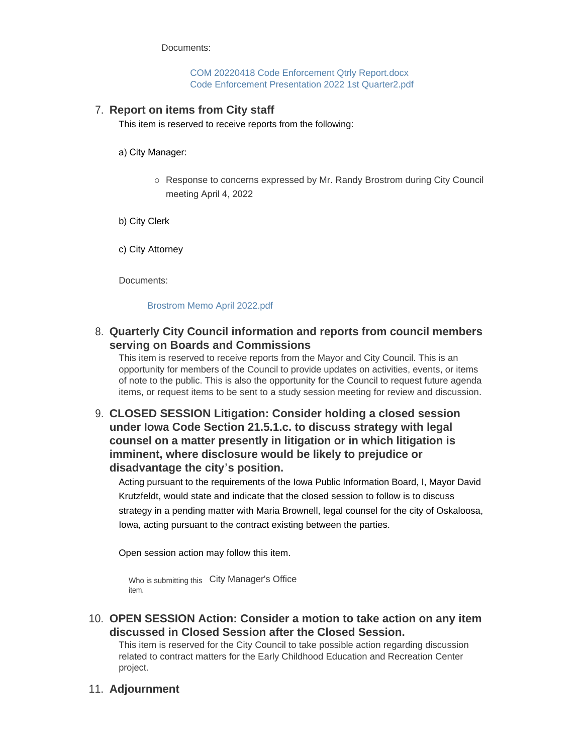Documents:

[COM 20220418 Code Enforcement Qtrly Report.docx](https://www.oskaloosaiowa.org/AgendaCenter/ViewFile/Item/10074?fileID=26441) [Code Enforcement Presentation 2022 1st Quarter2.pdf](https://www.oskaloosaiowa.org/AgendaCenter/ViewFile/Item/10074?fileID=26445)

## **Report on items from City staff** 7.

This item is reserved to receive reports from the following:

- a) City Manager:
	- ¡ Response to concerns expressed by Mr. Randy Brostrom during City Council meeting April 4, 2022

b) City Clerk

c) City Attorney

Documents:

#### [Brostrom Memo April 2022.pdf](https://www.oskaloosaiowa.org/AgendaCenter/ViewFile/Item/10085?fileID=26462)

## **Quarterly City Council information and reports from council members**  8. **serving on Boards and Commissions**

This item is reserved to receive reports from the Mayor and City Council. This is an opportunity for members of the Council to provide updates on activities, events, or items of note to the public. This is also the opportunity for the Council to request future agenda items, or request items to be sent to a study session meeting for review and discussion.

# **CLOSED SESSION Litigation: Consider holding a closed session**  9. **under Iowa Code Section 21.5.1.c. to discuss strategy with legal counsel on a matter presently in litigation or in which litigation is imminent, where disclosure would be likely to prejudice or disadvantage the city's position.**

Acting pursuant to the requirements of the Iowa Public Information Board, I, Mayor David Krutzfeldt, would state and indicate that the closed session to follow is to discuss strategy in a pending matter with Maria Brownell, legal counsel for the city of Oskaloosa, Iowa, acting pursuant to the contract existing between the parties.

Open session action may follow this item.

Who is submitting this City Manager's Office item.

**OPEN SESSION Action: Consider a motion to take action on any item**  10. **discussed in Closed Session after the Closed Session.**

This item is reserved for the City Council to take possible action regarding discussion related to contract matters for the Early Childhood Education and Recreation Center project.

## **Adjournment** 11.